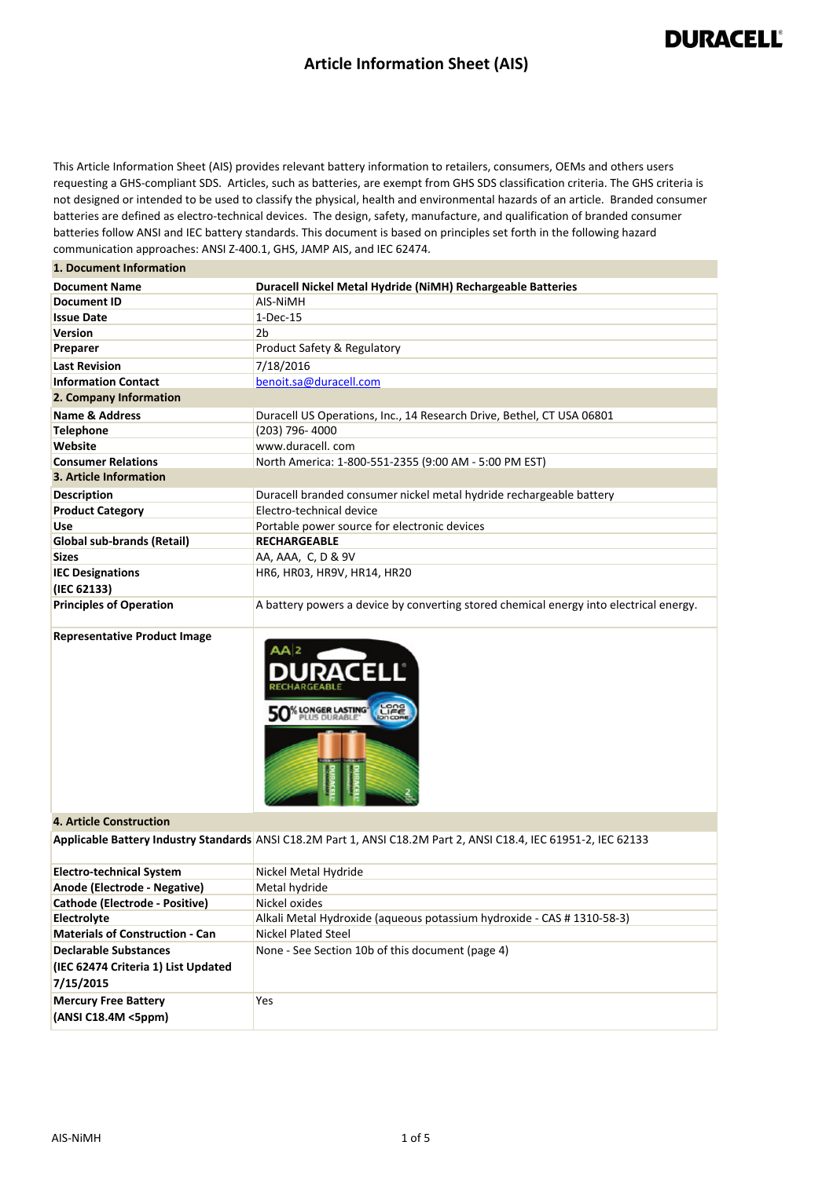#### **Article Information Sheet (AIS)**

### **DURACELL®**

This Article Information Sheet (AIS) provides relevant battery information to retailers, consumers, OEMs and others users requesting a GHS-compliant SDS. Articles, such as batteries, are exempt from GHS SDS classification criteria. The GHS criteria is not designed or intended to be used to classify the physical, health and environmental hazards of an article. Branded consumer batteries are defined as electro-technical devices. The design, safety, manufacture, and qualification of branded consumer batteries follow ANSI and IEC battery standards. This document is based on principles set forth in the following hazard communication approaches: ANSI Z-400.1, GHS, JAMP AIS, and IEC 62474.

| 1. Document Information |  |
|-------------------------|--|
|-------------------------|--|

| <b>Document Name</b>           | Duracell Nickel Metal Hydride (NiMH) Rechargeable Batteries                            |
|--------------------------------|----------------------------------------------------------------------------------------|
| Document ID                    | AIS-NIMH                                                                               |
| <b>Issue Date</b>              | $1-Dec-15$                                                                             |
| <b>Version</b>                 | 2b                                                                                     |
| Preparer                       | Product Safety & Regulatory                                                            |
| <b>Last Revision</b>           | 7/18/2016                                                                              |
| <b>Information Contact</b>     | benoit.sa@duracell.com                                                                 |
| 2. Company Information         |                                                                                        |
| Name & Address                 | Duracell US Operations, Inc., 14 Research Drive, Bethel, CT USA 06801                  |
| <b>Telephone</b>               | (203) 796-4000                                                                         |
| Website                        | www.duracell.com                                                                       |
| <b>Consumer Relations</b>      | North America: 1-800-551-2355 (9:00 AM - 5:00 PM EST)                                  |
| 3. Article Information         |                                                                                        |
| <b>Description</b>             | Duracell branded consumer nickel metal hydride rechargeable battery                    |
| <b>Product Category</b>        | Electro-technical device                                                               |
| <b>Use</b>                     | Portable power source for electronic devices                                           |
| Global sub-brands (Retail)     | <b>RECHARGEABLE</b>                                                                    |
| <b>Sizes</b>                   | AA, AAA, C, D & 9V                                                                     |
| <b>IEC Designations</b>        | HR6, HR03, HR9V, HR14, HR20                                                            |
| (IEC 62133)                    |                                                                                        |
| <b>Principles of Operation</b> | A battery powers a device by converting stored chemical energy into electrical energy. |

**Representative Product Image**



#### **4. Article Construction**

**Applicable Battery Industry Standards** ANSI C18.2M Part 1, ANSI C18.2M Part 2, ANSI C18.4, IEC 61951-2, IEC 62133

| <b>Electro-technical System</b>        | Nickel Metal Hydride                                                   |
|----------------------------------------|------------------------------------------------------------------------|
| Anode (Electrode - Negative)           | Metal hydride                                                          |
| Cathode (Electrode - Positive)         | Nickel oxides                                                          |
| Electrolyte                            | Alkali Metal Hydroxide (aqueous potassium hydroxide - CAS # 1310-58-3) |
| <b>Materials of Construction - Can</b> | Nickel Plated Steel                                                    |
| <b>Declarable Substances</b>           | None - See Section 10b of this document (page 4)                       |
| (IEC 62474 Criteria 1) List Updated    |                                                                        |
| 7/15/2015                              |                                                                        |
| <b>Mercury Free Battery</b>            | Yes                                                                    |
| (ANSI C18.4M <5ppm)                    |                                                                        |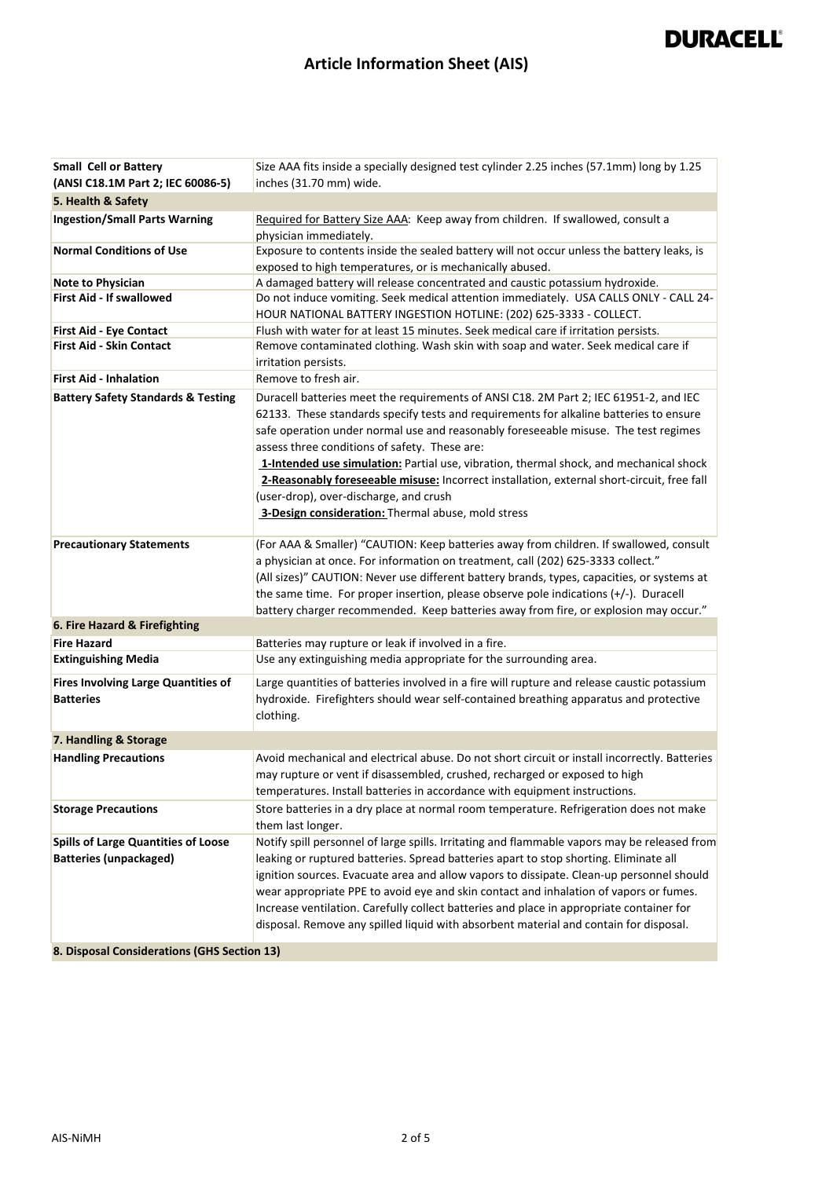### **Article Information Sheet (AIS)**

| <b>Small Cell or Battery</b>                                                                                               | Size AAA fits inside a specially designed test cylinder 2.25 inches (57.1mm) long by 1.25                                                                                                                                                                                                                                                                                                                                                                                                                                                                                                                       |
|----------------------------------------------------------------------------------------------------------------------------|-----------------------------------------------------------------------------------------------------------------------------------------------------------------------------------------------------------------------------------------------------------------------------------------------------------------------------------------------------------------------------------------------------------------------------------------------------------------------------------------------------------------------------------------------------------------------------------------------------------------|
| (ANSI C18.1M Part 2; IEC 60086-5)                                                                                          | inches (31.70 mm) wide.                                                                                                                                                                                                                                                                                                                                                                                                                                                                                                                                                                                         |
| 5. Health & Safety                                                                                                         |                                                                                                                                                                                                                                                                                                                                                                                                                                                                                                                                                                                                                 |
| <b>Ingestion/Small Parts Warning</b>                                                                                       | Required for Battery Size AAA: Keep away from children. If swallowed, consult a<br>physician immediately.                                                                                                                                                                                                                                                                                                                                                                                                                                                                                                       |
| <b>Normal Conditions of Use</b>                                                                                            | Exposure to contents inside the sealed battery will not occur unless the battery leaks, is<br>exposed to high temperatures, or is mechanically abused.                                                                                                                                                                                                                                                                                                                                                                                                                                                          |
| <b>Note to Physician</b>                                                                                                   | A damaged battery will release concentrated and caustic potassium hydroxide.                                                                                                                                                                                                                                                                                                                                                                                                                                                                                                                                    |
| First Aid - If swallowed                                                                                                   | Do not induce vomiting. Seek medical attention immediately. USA CALLS ONLY - CALL 24-<br>HOUR NATIONAL BATTERY INGESTION HOTLINE: (202) 625-3333 - COLLECT.                                                                                                                                                                                                                                                                                                                                                                                                                                                     |
| <b>First Aid - Eye Contact</b>                                                                                             | Flush with water for at least 15 minutes. Seek medical care if irritation persists.                                                                                                                                                                                                                                                                                                                                                                                                                                                                                                                             |
| <b>First Aid - Skin Contact</b>                                                                                            | Remove contaminated clothing. Wash skin with soap and water. Seek medical care if<br>irritation persists.                                                                                                                                                                                                                                                                                                                                                                                                                                                                                                       |
| <b>First Aid - Inhalation</b>                                                                                              | Remove to fresh air.                                                                                                                                                                                                                                                                                                                                                                                                                                                                                                                                                                                            |
| <b>Battery Safety Standards &amp; Testing</b>                                                                              | Duracell batteries meet the requirements of ANSI C18. 2M Part 2; IEC 61951-2, and IEC<br>62133. These standards specify tests and requirements for alkaline batteries to ensure<br>safe operation under normal use and reasonably foreseeable misuse. The test regimes<br>assess three conditions of safety. These are:<br>1-Intended use simulation: Partial use, vibration, thermal shock, and mechanical shock<br>2-Reasonably foreseeable misuse: Incorrect installation, external short-circuit, free fall<br>(user-drop), over-discharge, and crush<br>3-Design consideration: Thermal abuse, mold stress |
| <b>Precautionary Statements</b>                                                                                            | (For AAA & Smaller) "CAUTION: Keep batteries away from children. If swallowed, consult<br>a physician at once. For information on treatment, call (202) 625-3333 collect."<br>(All sizes)" CAUTION: Never use different battery brands, types, capacities, or systems at<br>the same time. For proper insertion, please observe pole indications $(+/-)$ . Duracell<br>battery charger recommended. Keep batteries away from fire, or explosion may occur."                                                                                                                                                     |
| 6. Fire Hazard & Firefighting                                                                                              |                                                                                                                                                                                                                                                                                                                                                                                                                                                                                                                                                                                                                 |
| <b>Fire Hazard</b>                                                                                                         | Batteries may rupture or leak if involved in a fire.                                                                                                                                                                                                                                                                                                                                                                                                                                                                                                                                                            |
| <b>Extinguishing Media</b>                                                                                                 | Use any extinguishing media appropriate for the surrounding area.                                                                                                                                                                                                                                                                                                                                                                                                                                                                                                                                               |
| <b>Fires Involving Large Quantities of</b><br><b>Batteries</b>                                                             | Large quantities of batteries involved in a fire will rupture and release caustic potassium<br>hydroxide. Firefighters should wear self-contained breathing apparatus and protective<br>clothing.                                                                                                                                                                                                                                                                                                                                                                                                               |
| 7. Handling & Storage                                                                                                      |                                                                                                                                                                                                                                                                                                                                                                                                                                                                                                                                                                                                                 |
| <b>Handling Precautions</b>                                                                                                | Avoid mechanical and electrical abuse. Do not short circuit or install incorrectly. Batteries<br>may rupture or vent if disassembled, crushed, recharged or exposed to high<br>temperatures. Install batteries in accordance with equipment instructions.                                                                                                                                                                                                                                                                                                                                                       |
| <b>Storage Precautions</b>                                                                                                 | Store batteries in a dry place at normal room temperature. Refrigeration does not make<br>them last longer.                                                                                                                                                                                                                                                                                                                                                                                                                                                                                                     |
| <b>Spills of Large Quantities of Loose</b><br><b>Batteries (unpackaged)</b><br>8. Disposal Considerations (GHS Section 13) | Notify spill personnel of large spills. Irritating and flammable vapors may be released from<br>leaking or ruptured batteries. Spread batteries apart to stop shorting. Eliminate all<br>ignition sources. Evacuate area and allow vapors to dissipate. Clean-up personnel should<br>wear appropriate PPE to avoid eye and skin contact and inhalation of vapors or fumes.<br>Increase ventilation. Carefully collect batteries and place in appropriate container for<br>disposal. Remove any spilled liquid with absorbent material and contain for disposal.                                                 |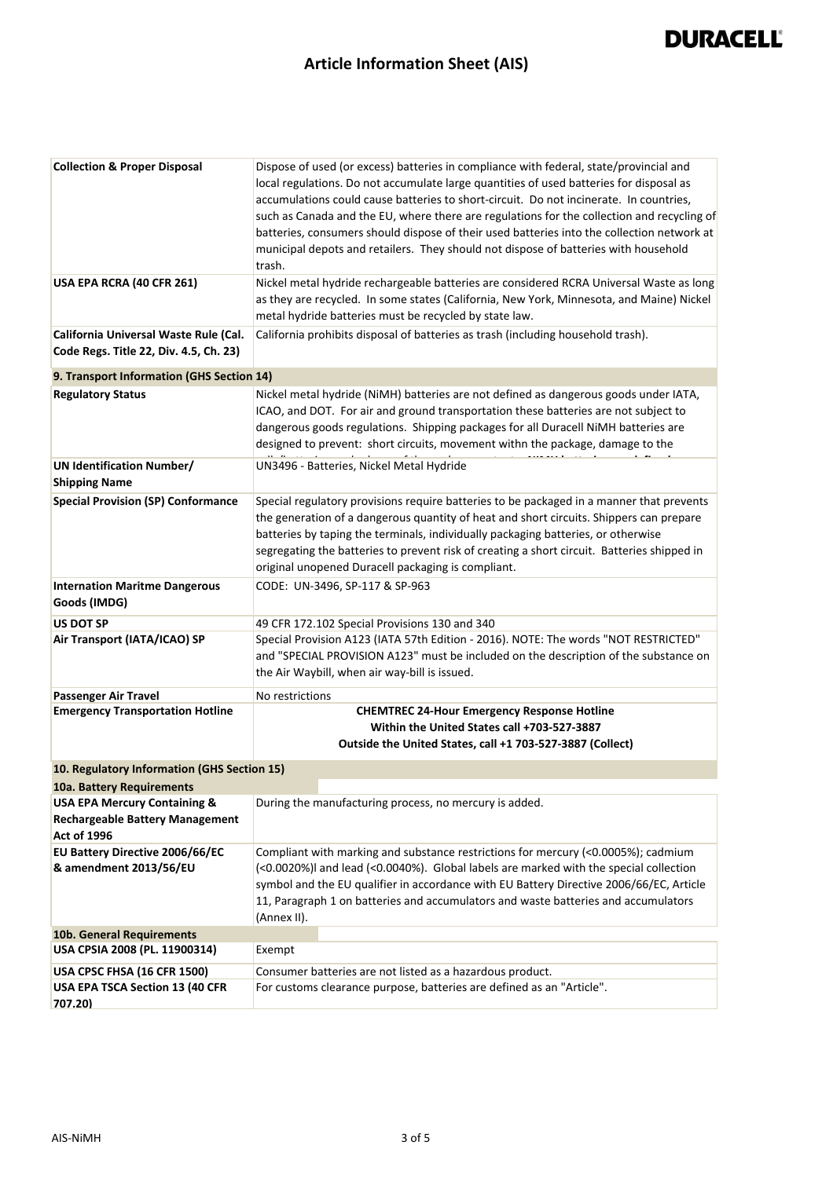### **Article Information Sheet (AIS)**

| <b>Collection &amp; Proper Disposal</b>                                                                 | Dispose of used (or excess) batteries in compliance with federal, state/provincial and<br>local regulations. Do not accumulate large quantities of used batteries for disposal as<br>accumulations could cause batteries to short-circuit. Do not incinerate. In countries,<br>such as Canada and the EU, where there are regulations for the collection and recycling of<br>batteries, consumers should dispose of their used batteries into the collection network at<br>municipal depots and retailers. They should not dispose of batteries with household<br>trash. |
|---------------------------------------------------------------------------------------------------------|--------------------------------------------------------------------------------------------------------------------------------------------------------------------------------------------------------------------------------------------------------------------------------------------------------------------------------------------------------------------------------------------------------------------------------------------------------------------------------------------------------------------------------------------------------------------------|
| USA EPA RCRA (40 CFR 261)                                                                               | Nickel metal hydride rechargeable batteries are considered RCRA Universal Waste as long<br>as they are recycled. In some states (California, New York, Minnesota, and Maine) Nickel<br>metal hydride batteries must be recycled by state law.                                                                                                                                                                                                                                                                                                                            |
| California Universal Waste Rule (Cal.<br>Code Regs. Title 22, Div. 4.5, Ch. 23)                         | California prohibits disposal of batteries as trash (including household trash).                                                                                                                                                                                                                                                                                                                                                                                                                                                                                         |
| 9. Transport Information (GHS Section 14)                                                               |                                                                                                                                                                                                                                                                                                                                                                                                                                                                                                                                                                          |
| <b>Regulatory Status</b>                                                                                | Nickel metal hydride (NiMH) batteries are not defined as dangerous goods under IATA,<br>ICAO, and DOT. For air and ground transportation these batteries are not subject to<br>dangerous goods regulations. Shipping packages for all Duracell NiMH batteries are<br>designed to prevent: short circuits, movement withn the package, damage to the                                                                                                                                                                                                                      |
| <b>UN Identification Number/</b><br><b>Shipping Name</b>                                                | UN3496 - Batteries, Nickel Metal Hydride                                                                                                                                                                                                                                                                                                                                                                                                                                                                                                                                 |
| <b>Special Provision (SP) Conformance</b>                                                               | Special regulatory provisions require batteries to be packaged in a manner that prevents<br>the generation of a dangerous quantity of heat and short circuits. Shippers can prepare<br>batteries by taping the terminals, individually packaging batteries, or otherwise<br>segregating the batteries to prevent risk of creating a short circuit. Batteries shipped in<br>original unopened Duracell packaging is compliant.                                                                                                                                            |
| <b>Internation Maritme Dangerous</b><br>Goods (IMDG)                                                    | CODE: UN-3496, SP-117 & SP-963                                                                                                                                                                                                                                                                                                                                                                                                                                                                                                                                           |
| <b>US DOT SP</b>                                                                                        | 49 CFR 172.102 Special Provisions 130 and 340                                                                                                                                                                                                                                                                                                                                                                                                                                                                                                                            |
| Air Transport (IATA/ICAO) SP                                                                            | Special Provision A123 (IATA 57th Edition - 2016). NOTE: The words "NOT RESTRICTED"<br>and "SPECIAL PROVISION A123" must be included on the description of the substance on<br>the Air Waybill, when air way-bill is issued.                                                                                                                                                                                                                                                                                                                                             |
| <b>Passenger Air Travel</b>                                                                             | No restrictions                                                                                                                                                                                                                                                                                                                                                                                                                                                                                                                                                          |
| <b>Emergency Transportation Hotline</b>                                                                 | <b>CHEMTREC 24-Hour Emergency Response Hotline</b><br>Within the United States call +703-527-3887<br>Outside the United States, call +1 703-527-3887 (Collect)                                                                                                                                                                                                                                                                                                                                                                                                           |
| 10. Regulatory Information (GHS Section 15)<br>10a. Battery Requirements                                |                                                                                                                                                                                                                                                                                                                                                                                                                                                                                                                                                                          |
| <b>USA EPA Mercury Containing &amp;</b><br><b>Rechargeable Battery Management</b><br><b>Act of 1996</b> | During the manufacturing process, no mercury is added.                                                                                                                                                                                                                                                                                                                                                                                                                                                                                                                   |
| EU Battery Directive 2006/66/EC<br>& amendment 2013/56/EU                                               | Compliant with marking and substance restrictions for mercury (<0.0005%); cadmium<br>(<0.0020%)I and lead (<0.0040%). Global labels are marked with the special collection<br>symbol and the EU qualifier in accordance with EU Battery Directive 2006/66/EC, Article<br>11, Paragraph 1 on batteries and accumulators and waste batteries and accumulators<br>(Annex II).                                                                                                                                                                                               |
| 10b. General Requirements                                                                               |                                                                                                                                                                                                                                                                                                                                                                                                                                                                                                                                                                          |
| USA CPSIA 2008 (PL. 11900314)                                                                           | Exempt                                                                                                                                                                                                                                                                                                                                                                                                                                                                                                                                                                   |
| <b>USA CPSC FHSA (16 CFR 1500)</b>                                                                      | Consumer batteries are not listed as a hazardous product.                                                                                                                                                                                                                                                                                                                                                                                                                                                                                                                |
| USA EPA TSCA Section 13 (40 CFR<br>707.20)                                                              | For customs clearance purpose, batteries are defined as an "Article".                                                                                                                                                                                                                                                                                                                                                                                                                                                                                                    |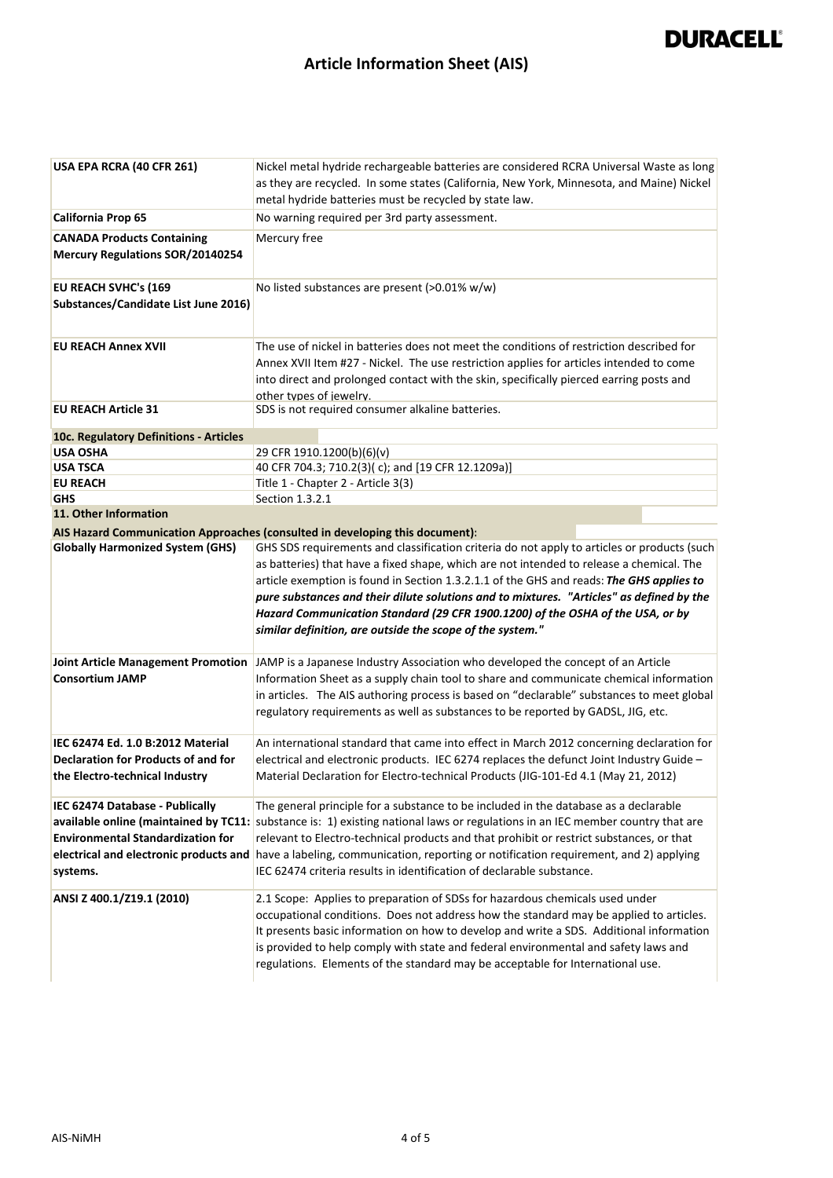| USA EPA RCRA (40 CFR 261)                                                               | Nickel metal hydride rechargeable batteries are considered RCRA Universal Waste as long<br>as they are recycled. In some states (California, New York, Minnesota, and Maine) Nickel<br>metal hydride batteries must be recycled by state law.                                                                                                                                                                                                                                                                                |
|-----------------------------------------------------------------------------------------|------------------------------------------------------------------------------------------------------------------------------------------------------------------------------------------------------------------------------------------------------------------------------------------------------------------------------------------------------------------------------------------------------------------------------------------------------------------------------------------------------------------------------|
| <b>California Prop 65</b>                                                               | No warning required per 3rd party assessment.                                                                                                                                                                                                                                                                                                                                                                                                                                                                                |
| <b>CANADA Products Containing</b><br><b>Mercury Regulations SOR/20140254</b>            | Mercury free                                                                                                                                                                                                                                                                                                                                                                                                                                                                                                                 |
| <b>EU REACH SVHC's (169</b><br>Substances/Candidate List June 2016)                     | No listed substances are present (>0.01% w/w)                                                                                                                                                                                                                                                                                                                                                                                                                                                                                |
| <b>EU REACH Annex XVII</b>                                                              | The use of nickel in batteries does not meet the conditions of restriction described for<br>Annex XVII Item #27 - Nickel. The use restriction applies for articles intended to come<br>into direct and prolonged contact with the skin, specifically pierced earring posts and<br>other types of jewelry.                                                                                                                                                                                                                    |
| <b>EU REACH Article 31</b>                                                              | SDS is not required consumer alkaline batteries.                                                                                                                                                                                                                                                                                                                                                                                                                                                                             |
| 10c. Regulatory Definitions - Articles                                                  |                                                                                                                                                                                                                                                                                                                                                                                                                                                                                                                              |
| <b>USA OSHA</b>                                                                         | 29 CFR 1910.1200(b)(6)(v)                                                                                                                                                                                                                                                                                                                                                                                                                                                                                                    |
| <b>USA TSCA</b>                                                                         | 40 CFR 704.3; 710.2(3)(c); and [19 CFR 12.1209a)]                                                                                                                                                                                                                                                                                                                                                                                                                                                                            |
| <b>EU REACH</b>                                                                         | Title 1 - Chapter 2 - Article 3(3)                                                                                                                                                                                                                                                                                                                                                                                                                                                                                           |
| <b>GHS</b>                                                                              | Section 1.3.2.1                                                                                                                                                                                                                                                                                                                                                                                                                                                                                                              |
| 11. Other Information                                                                   |                                                                                                                                                                                                                                                                                                                                                                                                                                                                                                                              |
| <b>Globally Harmonized System (GHS)</b>                                                 | AIS Hazard Communication Approaches (consulted in developing this document):<br>GHS SDS requirements and classification criteria do not apply to articles or products (such                                                                                                                                                                                                                                                                                                                                                  |
|                                                                                         | as batteries) that have a fixed shape, which are not intended to release a chemical. The<br>article exemption is found in Section 1.3.2.1.1 of the GHS and reads: The GHS applies to<br>pure substances and their dilute solutions and to mixtures. "Articles" as defined by the<br>Hazard Communication Standard (29 CFR 1900.1200) of the OSHA of the USA, or by<br>similar definition, are outside the scope of the system."                                                                                              |
| <b>Consortium JAMP</b>                                                                  | Joint Article Management Promotion JAMP is a Japanese Industry Association who developed the concept of an Article<br>Information Sheet as a supply chain tool to share and communicate chemical information<br>in articles. The AIS authoring process is based on "declarable" substances to meet global<br>regulatory requirements as well as substances to be reported by GADSL, JIG, etc.                                                                                                                                |
| IEC 62474 Ed. 1.0 B:2012 Material                                                       | An international standard that came into effect in March 2012 concerning declaration for                                                                                                                                                                                                                                                                                                                                                                                                                                     |
| Declaration for Products of and for<br>the Electro-technical Industry                   | electrical and electronic products. IEC 6274 replaces the defunct Joint Industry Guide -<br>Material Declaration for Electro-technical Products (JIG-101-Ed 4.1 (May 21, 2012)                                                                                                                                                                                                                                                                                                                                               |
| IEC 62474 Database - Publically<br><b>Environmental Standardization for</b><br>systems. | The general principle for a substance to be included in the database as a declarable<br>available online (maintained by TC11: substance is: 1) existing national laws or regulations in an IEC member country that are<br>relevant to Electro-technical products and that prohibit or restrict substances, or that<br>electrical and electronic products and have a labeling, communication, reporting or notification requirement, and 2) applying<br>IEC 62474 criteria results in identification of declarable substance. |
| ANSI Z 400.1/Z19.1 (2010)                                                               | 2.1 Scope: Applies to preparation of SDSs for hazardous chemicals used under<br>occupational conditions. Does not address how the standard may be applied to articles.<br>It presents basic information on how to develop and write a SDS. Additional information<br>is provided to help comply with state and federal environmental and safety laws and<br>regulations. Elements of the standard may be acceptable for International use.                                                                                   |